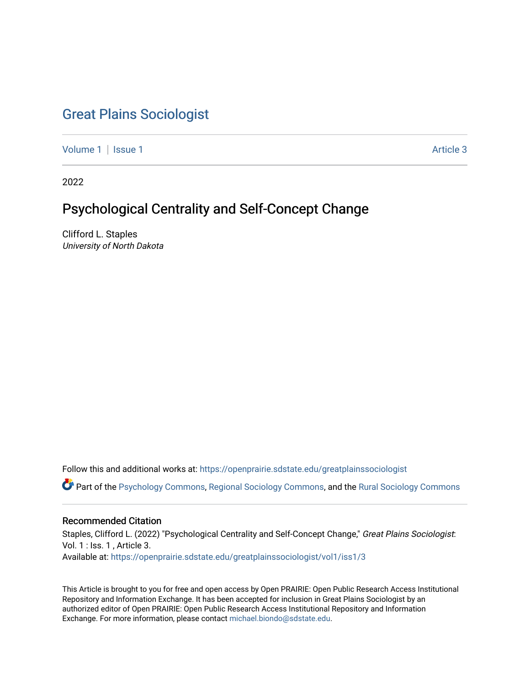# [Great Plains Sociologist](https://openprairie.sdstate.edu/greatplainssociologist)

[Volume 1](https://openprairie.sdstate.edu/greatplainssociologist/vol1) | [Issue 1](https://openprairie.sdstate.edu/greatplainssociologist/vol1/iss1) Article 3

2022

# Psychological Centrality and Self-Concept Change

Clifford L. Staples University of North Dakota

Follow this and additional works at: [https://openprairie.sdstate.edu/greatplainssociologist](https://openprairie.sdstate.edu/greatplainssociologist?utm_source=openprairie.sdstate.edu%2Fgreatplainssociologist%2Fvol1%2Fiss1%2F3&utm_medium=PDF&utm_campaign=PDFCoverPages) 

Part of the [Psychology Commons,](http://network.bepress.com/hgg/discipline/404?utm_source=openprairie.sdstate.edu%2Fgreatplainssociologist%2Fvol1%2Fiss1%2F3&utm_medium=PDF&utm_campaign=PDFCoverPages) [Regional Sociology Commons](http://network.bepress.com/hgg/discipline/427?utm_source=openprairie.sdstate.edu%2Fgreatplainssociologist%2Fvol1%2Fiss1%2F3&utm_medium=PDF&utm_campaign=PDFCoverPages), and the [Rural Sociology Commons](http://network.bepress.com/hgg/discipline/428?utm_source=openprairie.sdstate.edu%2Fgreatplainssociologist%2Fvol1%2Fiss1%2F3&utm_medium=PDF&utm_campaign=PDFCoverPages) 

# Recommended Citation

Staples, Clifford L. (2022) "Psychological Centrality and Self-Concept Change," Great Plains Sociologist: Vol. 1 : Iss. 1 , Article 3. Available at: [https://openprairie.sdstate.edu/greatplainssociologist/vol1/iss1/3](https://openprairie.sdstate.edu/greatplainssociologist/vol1/iss1/3?utm_source=openprairie.sdstate.edu%2Fgreatplainssociologist%2Fvol1%2Fiss1%2F3&utm_medium=PDF&utm_campaign=PDFCoverPages) 

This Article is brought to you for free and open access by Open PRAIRIE: Open Public Research Access Institutional Repository and Information Exchange. It has been accepted for inclusion in Great Plains Sociologist by an authorized editor of Open PRAIRIE: Open Public Research Access Institutional Repository and Information Exchange. For more information, please contact [michael.biondo@sdstate.edu.](mailto:michael.biondo@sdstate.edu)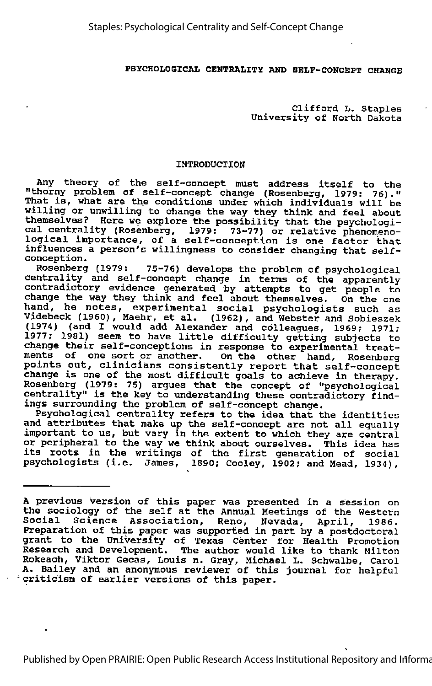### PSYCHOLOGICAL CENTRALITY AND SELF-CONCEPT CHANGE

Clifford L. Staples University of North Dakota

### INTRODUCTION

Any theory of the self-concept must address itself to the "thorny problem of self-concept change (Rosenberg, 1979: 76)." That is, what are the conditions under which individuals will be willing or unwilling to change the way they think and feel about themselves? Here we explore the possibility that the psychological centrality (Rosenberg, 1979: 73-77) or relative phenomeno-logical importance, of <sup>a</sup> self-conception is one factor that influences a person's willingness to consider changing that selfconception.

Rosenberg (1979: 75-76) develops the problem of psychological centrality and self-concept change in terms of the apparently contradictory evidence generated by attempts to get people to change the way they think and feel about themselves. On the one hand, he notes, experimental social psychologists such as Videbeck (1960), Haehr, et al. (1962), and Webster and Sobieszek (1974) (and I would add Alexander and colleagues, 1969; 1971; 1977; 1981) seem to have little difficulty getting subjects to change their self-conceptions in response to experimental treat ments of one sort or another. On the other hand, Rosenberg points out, clinicians consistently report that self-concept change is one of the most difficult goals to achieve in therapy. Rosenberg (1979: 75) argues that the concept of "psychological centrality" is the key to understanding these contradictory find ings surrounding the problem of self-concept change.

Psychological centrality refers to the idea that the identities and attributes that make up the self-concept are not all equally important to us, but vary in the extent to which they are central or peripheral to the way we think about ourselves. This idea has of peripheral to the way we think about ourselves. This idea has<br>its roots in the writings of the first generation of social psychologists (i.e. James, 1890; Cooley, 1902; and Mead, 1934),

<sup>A</sup> previous version of this paper was presented in <sup>a</sup> session on the sociology of the self at the Annual Meetings of the Western Social Science Association, Reno, Nevada, April, 1986. Preparation of this paper was supported in part by a postdoctoral grant to the University of Texas Center for Health Promotion Research and Development. The author would like to thank Milton Rokeach, Viktor Gecas, Louis n. Gray, Michael L. Schwalbe, Carol A. Bailey and an anonymous reviewer of this journal for helpful criticism of earlier versions of this paper.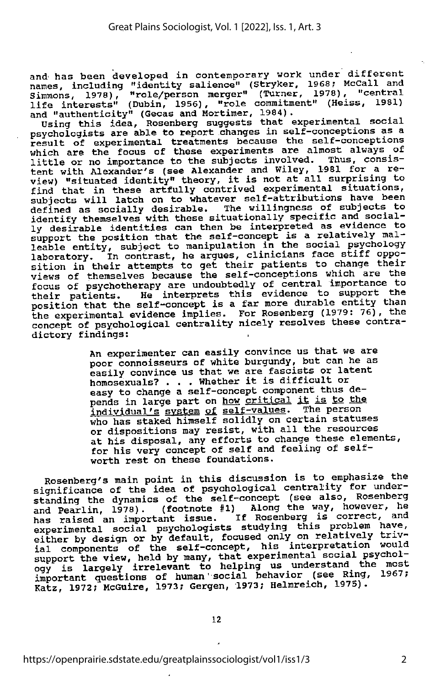and has been developed in contemporary work under different names, including "identity salience" (Stryker, 1968; McCall and Simmons, 1978), "role/person merger" (Turner, 1978), "central life interests" (Dubin, 1956), "role commitment" (Heiss, 1981)

and "authenticity" (Gecas and Mortimer, 1984).<br>Using this idea, Rosenberg suggests that experimental social psychologists are able to report changes in self-conceptions as a result of experimental treatments because the self-conceptions which are the focus of these experiments are almost always of<br>little or no importance to the subjects involved. Thus, consis-<br>ittle or no importance to the subjects involved. Thus, consistent with Alexander's (see Alexander and Wiley, 1981 for a re view) "situated identity" theory, it is not at all surprising to find that in these artfully contrived experimental situations, subjects will latch on to whatever self-attributions have been defined as socially desirable. The willingness of subjects to identify themselves with these situatiohally specific and social ly desirable identities can then be interpreted as evidence to support the position that the self-concept is a relatively mal leable entity, subject to manipulation in the social psychology<br>laboratory. In contrast, he argues, clinicians face stiff oppo-<br>sition in their attempts to get their patients to change their views of themselves because the self—conceptions which are the focus of psychotherapy are undoubtedly of central importance to their patients. He interprets this evidence to support the position that the self-concept is a far more durable entity than the experimental evidence implies. For Rosenberg (1979: 76), the concept of psychological centrality nicely resolves these contra dictory findings:

> An experimenter can easily convince us that we are poor connoisseurs of white burgundy, but can he as easily convince us that we are fascists or latent homosexuals? . . . Whether it is difficult or easy to change a self-concept component thus de pends in large part on how critical it is to the individual's system of self-values. The person who has staked himself solidly on certain statuses or dispositions may resist, with all the resources at his disposal, any efforts to change these elements, for his very concept of self and feeling of selfworth rest on these foundations.

Rosenberg's main point in this discussion is to emphasize the significance of the idea of psychological centrality for under-<br>standing the dynamics of the self-concept (see also, Rosenberg and Pearlin, 1978). (footnote #1) Along the way, however, he has raised an important issue. If Rosenberg is correct, and experimental social psychologists studying this problem have, either by design or by default, focused only on relatively triv ial components of the self-concept, his interpretation would support the view, held by many, that experimental social psychol ogy is largely irrelevant to helping us understand the most important questions of human' social behavior (see Ring, 1967; Katz, 1972; McGuire, 1973; Gergen, 1973; Helmreich, 1975).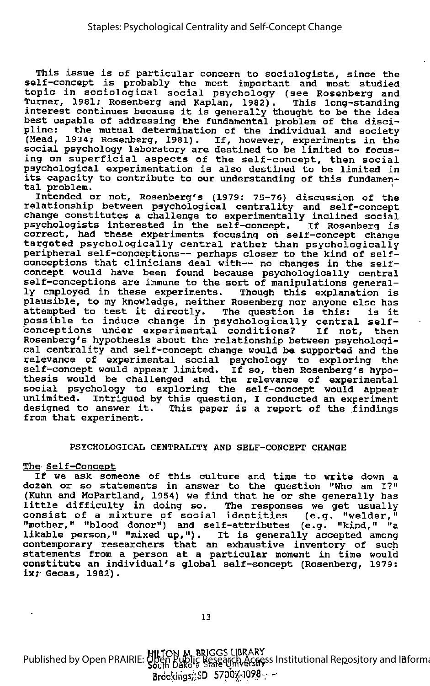This issue is of particular concern to sociologists, since the self-concept is probably the most important and most studied topic in sociological social psychology (see Rosenberg and Turner, 1981; Rosenberg and Kaplan, 1982). intere, 1981; Rosenberg and Kapian, 1982). This long-standing<br>interest continues because it is generally thought to be the idea best capable of addressing the fundamental problem of the disci pline: the mutual determination of the individual and society<br>(Mead, 1934; Rosenberg, 1981). If, however, experiments in the social psychology laboratory are destined to be limited to focus ing on superficial aspects of the self-concept, then social psychological experimentation is also destined to be limited in its capacity to contribute to our understanding of this fundamen tal problem.

tal problem.<br>Intended or not, Rosenberg's (1979: 75-76) discussion of the relationship between psychological centrality and self-concept change constitutes a challenge to experimentally inclined social psychologists interested in the self-concept. If Rosenberg is correct, had these experiments focusing on self-concept change targeted psychologically central rather than psychologically peripheral self-conceptions— perhaps closer to the kind of selfconceptions that clinicians deal with-- no changes in the selfconcept would have been found because psychologically central self-conceptions are immune to the sort of manipulations general ly employed in these experiments. Though this explanation is plausible, to my knowledge, neither Rosenberg nor anyone else has attempted to test it directly. The question is this: is it accempted to test it difectly. The question is this: Is it<br>possible to induce change in psychologically central selfpossible to findate change in psychologically central self-<br>conceptions under experimental conditions? If not, then Rosenberg's hypothesis about the relationship between psychologi cal centrality and self-concept change would be supported and the relevance of experimental social psychology to exploring the self-concept would appear limited. If so, then Rosenberg's hypothesis would be challenged and the relevance of experimental social psychology to exploring the self-concept would appear unlimited. Intrigued by this question, <sup>I</sup> conducted an experiment designed to answer it. This paper is <sup>a</sup> report of the findings from that experiment.

### PSYCHOLOGICAL CENTRALITY AND SELF-CONCEPT CHANGE

### The Self-Concept

<u>s born concept</u><br>If we ask someone of this culture and time to write down a dozen or so statements in answer to the question "Who am I?" (Kuhn and HcPartland, 1954) we find that he or she generally has little difficulty in doing so. The responses we get usually little difficulty in doing so. The responses we get usually<br>consist of a mixture of social identities (e.g. "welder," "mother," "blood donor") and self-attributes (e.g. "kind," "a mother, "brood donor", and sell-attributes (e.g. "kind, " and internally accepted among contemporary researchers that an exhaustive inventory of such statements from a person at a particular moment in time would constitute an individual's global self-concept (Rosenberg, 1979: ix;- Gecas, 1982) .

Milton m. briggs library Published by Open PRAIRIE: Oben Public Research Access Institutional Repository and Information and Information Exchange in the South Dakota Search Access Institutional Repository and Information and Information B  $B$ rockings;: SD 57007-1098-;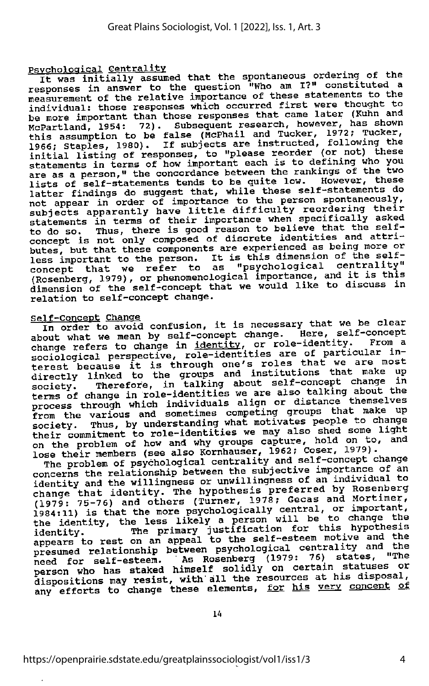Psychological Centrality<br>It was initially assumed that the spontaneous ordering of the<br>All constituted and the spontion who am I<sup>20</sup> constituted a responses in answer to the question "Who am I?" constituted a measurement of the relative importance of these statements to the measurement of the relative importance of these statements to the<br>individual: those responses which occurred first were thought to Independent than those responses that came later (Kuhn and<br>McPartland, 1954: 72). Subsequent research, however, has shown this assumption to be false (McPhail and Tucker, 1972; Tucker,<br>1966; Staples, 1980). If subjects are instructed, following the<br>1966; Staples, 1980). If subjects are instructed, following the initial listing of responses, to "please reorder (or not) these statements in terms of how important each is to defining who you are as a person," the concordance between the rankings of the two lists of self-statements tends to be quite low. However, these latter findings do suggest that, while these self-statements do not appear in order of importance to the person spontaneously,<br>subjects apparently have little difficulty reordering their<br>statements in terms of their importance when specifically asked to do so. Thus, there is good reason to believe that the selfconcept is not only composed of discrete identities and attri butes, but that these components are experienced as being more or less important to the person. It is this dimension of the self-<br>concept that we refer to as "psychological centrality" (Rosenberg, 1979), or phenomenological importance, and it is this dimension of the self-concept that we would like to discuss in relation to self-concept change.

Self-Concept Change<br>In order to avoid confusion, it is necessary that we be clear about what we mean by self-concept change. Here, self-concept<br>change refers to change in identity, or role-identity. From a sociological perspective, role-identities are of particular insociological perspective, fore indicate that we are most<br>terest because it is through one's roles that we are most directly linked to the groups and institutions that make up<br>society. Therefore, in talking about self-concept change in<br>society. Therefore, in talking up an also talking about the terms of change in role-identities we are also talking about the process through which individuals align or distance themselves<br>from the various and sometimes competing groups that make up society. Thus, by understanding what motivates people to change<br>their commitment to role-identities we may also shed some light on the problem of how and why groups capture, hold on to, and lose their members (see also Kornhauser, 1962; Coser, 1979).

The problem of psychological centrality and self-concept change concerns the relationship between the subjective importance of an identity and the willingness or unwillingness of an individual to<br>change that identity. The hypothesis preferred by Rosenberg<br>(1979: 75-76) and others (Turner, 1978; Gecas and Mortimer, change that identity. The hypothesis preferred by Rosenberg<br>(1979: 75-76) and others (Turner, 1978; Gecas and Mortimer,<br>1984:11) is that the more psychologically central, or important,<br>the identity, the less likely a perso identity. The primary justification for this hypothesis<br>appears to rest on an appeal to the self-esteem motive and the<br>presumed relationship between psychological centrality and the<br>presumed relationship between psychologi presumed relationship between psychological centrality and the<br>need for self-esteem. As Rosenberg (1979: 76) states, "The<br>person who has staked himself solidly on certain statuses or dispositions may resist, with all the resources at his disposal, any efforts to change these elements, for his very concept of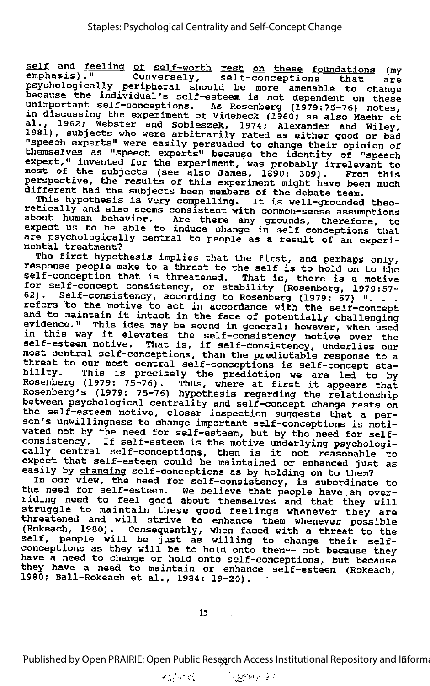self and feeling of self-worth rest on these foundations (my emphasis)." Conversely, self-conceptions that are psychologically peripheral should be more amenable to change<br>because the individual's self-esteem is not dependent on these unimportant self-conceptions. As Rosenberg (1979:75-76) notes, in discussing the experiment of Videbeck (1960; se also Haehr et al., 1962; Webster and Sobieszek, 1974; Alexander and Wiley, 1981), subjects who were arbitrarily rated as either good or bad "speech experts" were easily persuaded to change their opinion of themselves as "speech experts" because the identity of "speech themselves as "speech experts" because the identity of "speech expert," invented for the experiment, was probably irrelevant to most of the subjects (see also James, 1890: 309). From this mercies and babycous (see also bames, 1890: 309). From this<br>perspective, the results of this experiment might have been much

different had the subjects been members of the debate team. This hypothesis is very compelling. It is well-grounded theo retically and also seems compering. It is well-grounded theo-<br>retically and also seems consistent with common-sense assumptions<br>about human behavior. Are there any grounds, therefore, to about human behavior. Are there any grounds, therefore, to expect us to be able to induce change in self-conceptions that are psychologically central to people as a result of an experi-<br>mental treatment?

The first hypothesis implies that the first, and perhaps only, response people make to <sup>a</sup> threat to the self is to hold on to the self-conception that is threatened. That is, there is a motive for self-concept consistency, or stability (Rosenberg, 1979:57- 62). Self-consistency, according to Rosenberg, 1979:57-<br>refers to the motive to act in accordance with the self-concept<br>and to maintain it intact in the face of potentially challenging<br>evidence." This idea may be sound in evidence." This idea may be sound in general; however, when used<br>in this way it elevates the self-consistency motive over the self-esteem motive. That is, if self-consistency, underlies our most central self-conceptions, than the predictable response to a threat to our most central self-conceptions is self-concept stability. This is precisely the prediction we are led to by Rosenberg (1979: 75-76). Thus, where at first it appears that Rosenberg's (1979: 75-76) hypothesis regarding the relationship the self-esteem motive, closer inspection suggests that a person's unwillingness to change important self-conceptions is motivated not by the need for self-esteem, but by the need for selfconsistency. If self-esteem is the motive underlying psychologi consistency. It self-esteem is the motive underlying psychologi-<br>cally central self-conceptions, then is it not reasonable to exily conclui self-conceptions, then is it not reasonable to<br>expect that self-esteem could be maintained or enhanced just as easily by changing self-conceptions as by holding on to them?

---, by <u>endinging</u> self-conceptions as by notaing on to them.<br>In our view, the need for self-consistency, is subordinate to the need for self-esteem. We believe that people have an over riding need to feel good about themselves and that they will struggle to maintain these good feelings whenever they will threatened and will strive to enhance them whenever possible (Rokeach, 1980). Consequently, when faced with a threat to the self, people will be just as willing to change their selfconceptions as they will be to hold onto them-- not because they have <sup>a</sup> need to change or hold onto self-conceptions, but because they have a need to maintain or enhance self-esteem (Rokeach, 1980; Ball-Rokeach et al., 1984: 19-20).

Published by Open PRAIRIE: Open Public Research Access Institutional Repository and I**ñ**forma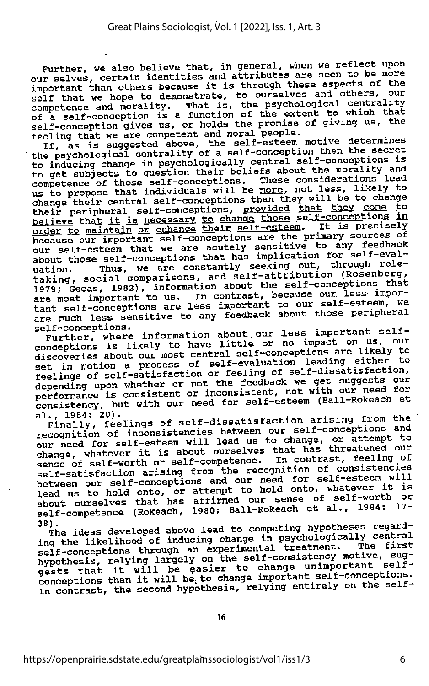Further, we also believe that, in general, when we reflect upon our selves, certain identities and attributes are seen to be more important than others because it is through these aspects of the self that we hope to demonstrate, to ourselves and others, our competence and morality conselves and others, our competence and morality of a self-conception is a function of the extent to which that self-conception gives

If, as is suggested above, the self-esteem motive determines the psychological centrality of a self-conception then the secret to inducing change in psychologically central to get subjects to question their beliefs about the morality and competence of those self-conceptions. These considerations lead us to propose that individuals will be more, not less, likely to change their central self-conceptions than they will be to change their peripheral self-conceptions, <u>provided</u> that they come to<br>believe that it is necessary to change those self-conceptions in<br>order to maintain or enhance their self-esteem. It is precisely<br>because our important self-co about those self-conceptions that has implication for self-eval-<br>uation. Thus, we are constantly seeking out, through roleuation. Thus, we are constantly seeking out, through role-<br>taking, social comparisons, and self-attribution (Rosenberg, taking, social comparisons, and self-attribution (Rosenberg,<br>1979; Gecas, 1982), information about the self-conceptions that<br>1979; Gecas, 1982), information about the self-conceptions that are most important to us. In contrast, because our less impor-<br>tant self-conceptions are less important to our self-esteem, we<br>are much less sensitive to any feedback about those peripheral

seir-conceptions.<br>Further, where information about our less rurther, where information alttle or no discoveries about our most central self-conceptions are likely to<br>set in motion a process of self-evaluation leading either to feelings of self-satisfaction or feeling of self-dissatisfaction, depending upon whether or not the feedback we get suggests our performance is consistent or inconsistent, not with our need for consistency, but with our need for self-esteem (Ball-Rokeach et al., 1984: 20).

al., 1984: 20).<br>Finally, feelings of self-dissatisfaction arising from the recognition of inconsistencies between our need for self-esteem will lead us to change, or attempt to change, whatever it is about ourselves that has threatened our sense of self-worth or self-competence. In contrast, feeling of self-satisfaction arising from t between our self-conceptions and our need for self-esteem will<br>lead us to hold onto, or attempt to hold onto, whatever it is<br>about ourselves that has affirmed our sense of self-worth or<br>self-competence (Rokeach, 1980; Ball

38). The ideas developed above lead to competing hypotheses regard-<br>ing the likelihood of inducing change in psychologically central<br>self-conceptions through an experimental treatment. The first<br>hypothesis, relying largely gests that it will be easier to change unimportant self-<br>conceptions than it will be to change important self-conceptions.<br>In contrast, the second hypothesis, relying entirely on the self-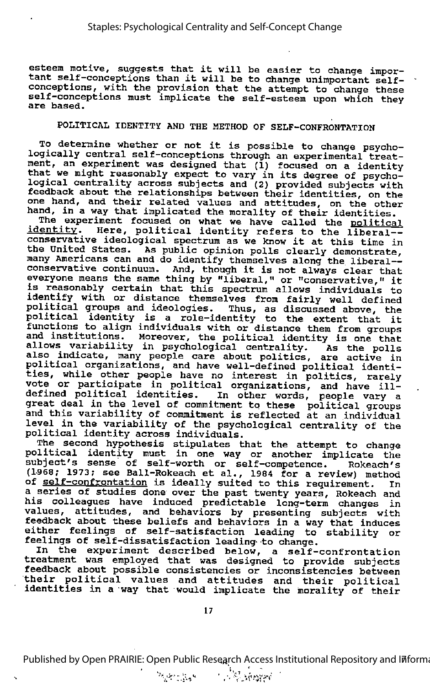esteem motive, suggests that it will be easier to change impor esteem motive, suggests that it will be easier to change impor-<br>tant self-conceptions than it will be to change unimportant selfconceptions, with the provision that the attempt to change these self-conceptions must implicate the self-esteem upon which they are based.

## POLITICAL IDENTITY AND THE METHOD OF SELF-CONFRONTATION

To determine whether or not it is possible to change psycho-<br>logically central self-conceptions through an experimental treat-<br>ment, an experiment was designed that (1) focused on a identity that we might reasonably expect to vary in its degree of psycho-logical centrality across subjects and (2) provided subjects with estight conditing across subjects and (2) provided subjects with<br>feedback about the relationships between their identities, on the one hand, and their related values and attitudes, on the other hand, in a way that implicated the morality of their identities.

The experiment focused on what we have called the political identity. Here, political identity refers to the liberal-identity. Here, political identity refers to the liberal--<br>conservative ideological spectrum as we know it at this time in the United States. As public opinion polls clearly demonstrate, many Americans can and do identify themselves along the liberal many Americans can and do identify themselves along the liberal--<br>conservative continuum. And, though it is not always clear that conservacive continuum. And, though it is not always clear that<br>everyone means the same thing by "liberal," or "conservative," it everyone means the same thing by "ilberal," or "conservative," it<br>is reasonably certain that this spectrum allows individuals to identify with or distance themselves from fairly well defined political groups and ideologies. Thus, as discussed above, the political identity is <sup>a</sup> role-identity to the extent that it functions to align individuals with or distance them from groups<br>and institutions. Moreover, the political identity is one that allows variability in psychological centrality. As the polls also indicate, many people care about politics, are active in also indicate, many people cale about politics, are active i<br>political organizations, and have well-defined political identi ties, while other people have no interest in politics, rarely vote or participate in political organizations, and have illdefined political identities. In other words, people vary a Accepted the level of commitment to these political groups and this variability of commitment is reflected at an individual The the variability of commitment is fellected at an individual<br>level in the variability of the psychological centrality of the political identity across individuals.

The second hypothesis stipulates that the attempt to change political identity must in one way or another implicate the subject's sense of self-worth or self-competence. Rokeach's (1968; 1973; see Ball-Rokeach et al., 1984 for a review) method of self-confrontation is ideally suited to this requirement. In a series of studies done over the past twenty years, Rokeach and his colleagues have induced predictable long-term changes in values, attitudes, and behaviors by presenting subjects with feedback about these beliefs and behaviors in a way that induces either feelings of self-satisfaction leading to stability or feelings of self-dissatisfaction leading-to change.

In the experiment described below, <sup>a</sup> self-confrontation treatment was employed that was designed to provide subjects feedback about possible consistencies or inconsistencies between their political values and attitudes and their political identities in a way that would implicate the morality of their

Published by Open PRAIRIE: Open Public Research Access Institutional Repository and Informa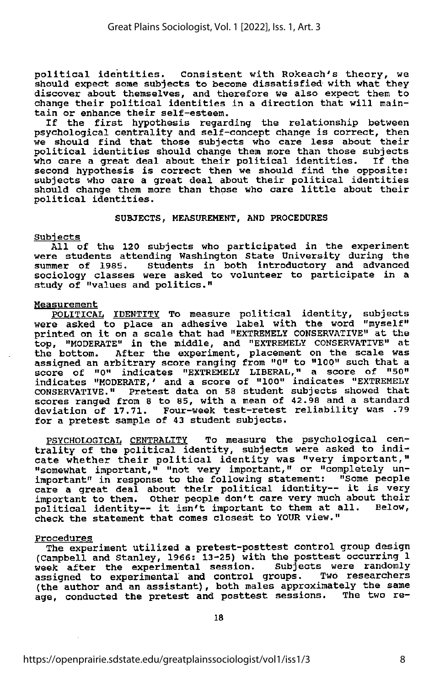political identities. Consistent with Rokeach's theory, we should expect some subjects to become dissatisfied with what they discover about themselves, and therefore we also expect them to change their political identities in <sup>a</sup> direction that will main tain or enhance their self-esteem.

If the first hypothesis regarding the relationship between psychological centrality and self-concept change is correct, then we should find that those subjects who care less about their political identities should change them more than those subjects who care <sup>a</sup> great deal about their political identities. If the second hypothesis is correct then we should find the opposite: subjects who care <sup>a</sup> great deal about their political identities should change them more than those who care little about their political identities.

### SUBJECTS, MEASUREMENT, AND PROCEDURES

### Subjects

All of the 120 subjects who participated in the experiment were students attending Washington State University during the summer of 1985. Students in both introductory and advanced sociology classes were asked to volunteer to participate in <sup>a</sup> study of "values and politics."

### **Measurement**

POLITICAL IDENTITY To measure political identity, subjects were asked to place an adhesive label with the word "myself" printed on it on <sup>a</sup> scale that had "EXTREMELY CONSERVATIVE" at the top, "MODERATE" in the middle, and "EXTREMELY CONSERVATIVE" at the bottom. After the experiment, placement on the scale was assigned an arbitrary score ranging from "0" to "100" such that <sup>a</sup> score of "0" indicates "EXTREMELY LIBERAL," <sup>a</sup> score of "50" indicates "MODERATE,' and a score of "100" indicates "EXTREMELY CONSERVATIVE." Pretest data on 58 student subjects showed that scores ranged from 8 to 85, with a mean of 42.98 and a standard deviation of 17.71. Four-week test-retest reliability was .79 for a pretest sample of 43 student subjects.

PSYCHOLOGICAL CENTRALITY To measure the psychological cen trality of the political identity, subjects were asked to indi cate whether their political identity was "very important," "somewhat important," "not very important," or "completely un important" in response to the following statement: "Some people<br>care a great deal about their political identity-- it is very important to them. Other people don't care very much about their political identity— it isn't important to them at all. Below, check the statement that comes closest to YOUR view."

Procedures<br>The experiment utilized a pretest-posttest control group design (Campbell and Stanley, 1966: 13-25) with the posttest occurring 1 week after the experimental session. Subjects were randomly assigned to experimental and control groups. Two researchers (the author and an assistant) , both males approximately the same age, conducted the pretest and posttest sessions. The two re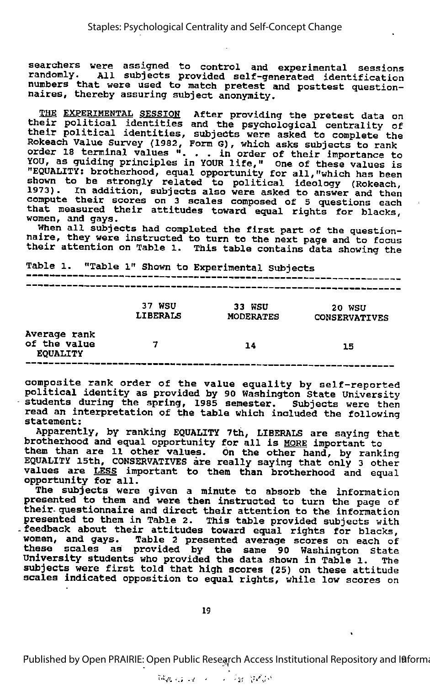searchers were assigned to control and experimental sessions randomly. All subjects provided self-generated identification numbers that were used to match pretest and posttest questionnaires, thereby assuring subject anonymity.

EXPERIMENTAL SESSION After providing the pretest data on their political identities and the psychological centrality of their political identities, subjects were asked to complete the Rokeach Value Survey (1982, Form G), which asks subjects to rank<br>order 18 terminal values "... in order of their importance to<br>VOU 18 terminal values "... in order of their importance to YOU, as guiding principles in YOUR life," One of these values is "EQUALITY: brotherhood, equal opportunity for all,"which has been shown to be strongly related to political ideology (Rokeach, and the secondary related to political ideology (Rokeach,<br>1973). In addition, subjects also were asked to answer and then compute their scores on 3 scales composed of 5 questions each that measured their attitudes toward equal rights for blacks, women, and gays.

When all subjects had completed the first part of the question-naire, they were instructed to turn to the next page and to focus their attention on Table 1. This table contains data showing the

|                                                 |                           | Table 1. "Table 1" Shown to Experimental Subjects |                                |  |  |
|-------------------------------------------------|---------------------------|---------------------------------------------------|--------------------------------|--|--|
|                                                 |                           |                                                   |                                |  |  |
|                                                 | 37 WSU<br><b>LIBERALS</b> | 33 WSU<br><b>MODERATES</b>                        | 20 WSU<br><b>CONSERVATIVES</b> |  |  |
| Average rank<br>of the value<br><b>EQUALITY</b> |                           | 14                                                | 15                             |  |  |

composite rank order of the value equality by self-reported political identity as provided by 90 Washington State University students during the spring, <sup>1985</sup> semester. Subjects were then read an interpretation of the table which included the following statement:

Apparently, by ranking EQUALITY 7th, LIBERALS are saying that brotherhood and equal opportunity for all is MORE important to them than are 11 other values. On the other hand, by ranking EQUALITY 15th, CONSERVATIVES are really saying that only 3 other values are **LESS** important to them than brotherhood and equal varies are **model** importunity for all.

The subjects were given a minute to absorb the information presented to them and were then instructed to turn the page of their- questionnaire and direct their attention to the information presented to them in Table 2. This table provided subjects with feedback about their attitudes toward equal rights for blacks, women, and gays. Table 2 presented average scores on each of these scales as provided by the same 90 Washington state University students who provided the data shown in Table 1. The subjects were first told that high scores (25) on these attitude scales Indicated opposition to equal rights, while low scores on

Published by Open PRAIRIE: Open Public Research Access Institutional Repository and I8forma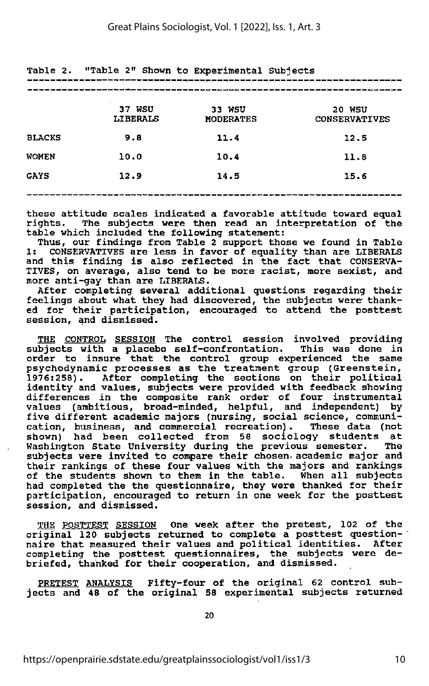|               | 37 WSU<br><b>LIBERALS</b> | 33 WSU<br><b>MODERATES</b> | <b>20 WSU</b><br><b>CONSERVATIVES</b> |
|---------------|---------------------------|----------------------------|---------------------------------------|
| <b>BLACKS</b> | 9.8                       | 11.4                       | 12.5                                  |
| <b>WOMEN</b>  | 10.0                      | 10.4                       | 11.8                                  |
| GAYS          | 12.9                      | 14.5                       | 15.6                                  |
|               |                           |                            |                                       |

Table 2. "Table 2" Shown to Experimental Subjects

these attitude scales indicated <sup>a</sup> favorable attitude toward equal rights. The subjects were then read an interpretation of the table which included the following statement:

Thus, our findings from Table <sup>2</sup> support those we found in Table 1: CONSERVATIVES are less in favor of equality than are LIBERALS and this finding is also reflected in the fact that CONSERVA TIVES, on average, also tend to be more racist, more sexist, and more anti-gay than are LIBERALS.

After completing several additional questions regarding their feelings about what they had discovered, the subjects were thank ed for their participation, encouraged to attend the posttest session, and dismissed.

THE CONTROL SESSION The control session involved providing subjects with a placebo self-confrontation. This was done in order to insure that the control group experienced the same psychodynamic processes as the treatment group (Greenstein, After completing the sections on their political identity and values, subjects were provided with feedback showing differences in the composite rank order of four instrumental values (ambitious, broad-minded, helpful, and independent) by five different academic majors (nursing, social science, communi cation, business, and commercial recreation). These data (not had been collected from 58 sociology students at<br>ton State University during the previous semester. The Washington State University during the previous semester. subjects were invited to compare their chosen- academic major and their rankings of these four values with the majors and rankings of the students shown to them in the table. When all subjects had completed the the questionnaire, they were thanked for their participation, encouraged to return in one week for the posttest session, and dismissed.

THE POSTTEST SESSION One week after the pretest, 102 of the original 120 subjects returned to complete a posttest question naire that measured their values and political identities. After completing the posttest questionnaires, the subjects were de briefed, thanked for their cooperation, and dismissed.

PRETEST ANALYSIS Fifty-four of the original 62 control subjects and <sup>48</sup> of the original 58 experimental subjects returned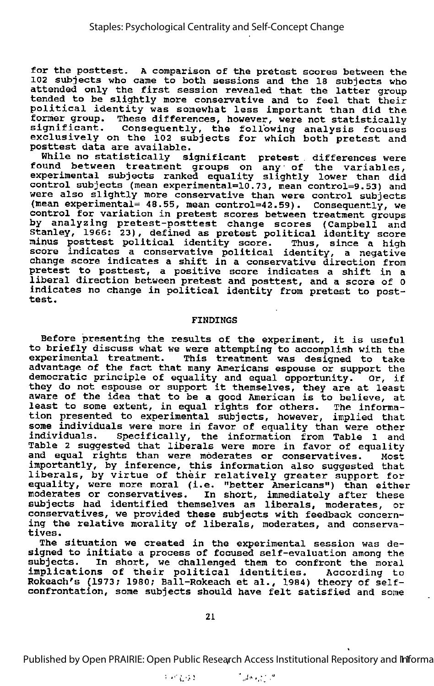for the posttest. <sup>A</sup> comparison of the pretest scores between the 102 subjects who came to both sessions and the 18 subjects who attended only the first session revealed that the latter group tended to be slightly more conservative and to feel that their political identity was somewhat less important than did the former group. These differences, however, were not statistically significant. Consequently, the following analysis focuses exclusively on the 102 subjects for which both pretest and posttest data are available.

While no statistically significant pretest differences were found between treatment groups on any of the variables, experimental subjects ranked equality slightly lower than did control subjects (mean experimental=10.73, mean control=9.53) and were also slightly more conservative than were control subjects (mean experimental= 48.55, mean control=42.59). Consequently, we control for variation in pretest scores between treatment groups by analyzing pretest-posttest change scores (Campbell and Stanley, 1966: 23) , defined as pretest political identity score minus posttest political identity score. Thus, since <sup>a</sup> high score indicates a conservative political identity, a negative change score indicates <sup>a</sup> shift in <sup>a</sup> conservative direction from pretest to posttest, <sup>a</sup> positive score indicates <sup>a</sup> shift in <sup>a</sup> liberal direction between pretest and posttest, and a score of 0 indicates no change in political identity from pretest to post- test.

### FINDINGS

Before presenting the results of the experiment, it is useful to briefly discuss what we were attempting to accomplish with the experimental treatment. This treatment was designed to take advantage of the fact that many Americans espouse or support the democratic principle of equality and equal opportunity. Or, if democratic principle or equality and equal opportunity. Or, if<br>they do not espouse or support it themselves, they are at least aware of the idea that to be a good American is to believe, at about the rada that to be a good mmericum is to befleve, a tion presented to experimental subjects, however, implied that some individuals were more in favor of equality than were other individuals. Specifically, the information from Table l and Table 2 suggested that liberals were more in favor of equality and equal rights than were moderates or conservatives. Most importantly, by inference, this information also suggested that liberals, by virtue of their relatively greater support for equality, were more moral (i.e. "better Americans") than either moderates or conservatives. In short, immediately after these subjects had identified themselves as liberals, moderates, or conservatives, we provided these subjects with feedback concern ing the relative morality of liberals, moderates, and conserva-<br>tives.

The situation we created in the experimental session was de signed to initiate <sup>a</sup> process of focused self-evaluation among the subjects. In short, we challenged them to confront the moral implications of their political identities. According to Rokeach's (1973; 1980; Ball-Rokeach et al., 1984) theory of selfconfrontation, some subjects should have felt satisfied and some

21

Published by Open PRAIRIE: Open Public Research Access Institutional Repository and Infforma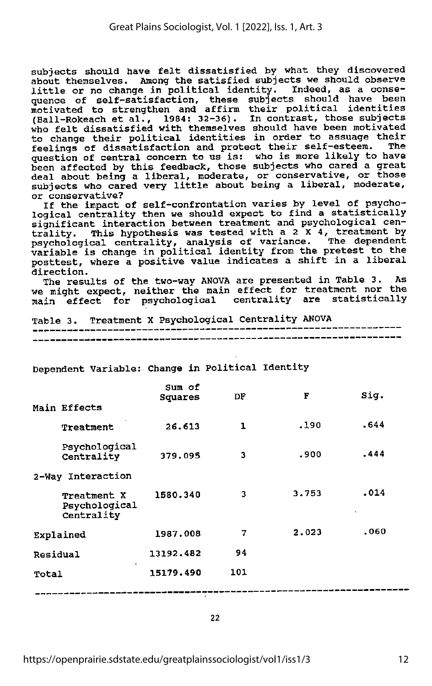subjects should have felt dissatisfied by what they discovered about themselves. Among the satisfied subjects we should observe little or no change in political identity. Indeed, as <sup>a</sup> conse quence of self-satisfaction, these subjects should have been motivated to strengthen and affirm their political identities (Ball-Rokeach et al., 1984: 32-36). In contrast, those subjects who felt dissatisfied with themselves should have been motivated to change their political identities in order to assuage their feelings of dissatisfaction and protect their self-esteem. The question of central concern to us is: who is more likely to have been affected by this feedback, those subjects who cared a great deal about being a liberal, moderate, or conservative, or those subjects who cared very little about being a liberal, moderate,<br>or conservative?<br>If the impact of self-confrontation varies by level of psycho-

logical centrality then we should expect to find a statistically significant interaction between treatment and psychological centrality. This hypothesis was tested with a 2 X 4, treatment by psychological centrality, analysis of variance. The dependent variable is change in political identity from the pretest to the posttest, where a positive value indicates a shift in a liberal direction.

The results of the two-way ANOVA are presented in Table 3. As we might expect, neither the main effect for treatment nor the main effect for psychological centrality are statistically

Table 3. Treatment X Psychological Centrality ANOVA

|                                            | Sum of<br>Squares | DF           | F     | Sig. |
|--------------------------------------------|-------------------|--------------|-------|------|
| Main Effects                               |                   |              |       |      |
| Treatment                                  | 26.613            | $\mathbf{1}$ | .190  | .644 |
| Psychological<br>Centrality                | 379.095           | 3            | .900  | .444 |
| 2-Way Interaction                          |                   |              |       |      |
| Treatment X<br>Psychological<br>Centrality | 1580.340          | 3            | 3.753 | .014 |
| Explained                                  | 1987.008          | 7            | 2.023 | .060 |
| Residual                                   | 13192.482         | 94           |       |      |
| Total                                      | 15179.490         | 101          |       |      |
|                                            |                   |              |       |      |

Dependent Variable: Change in Political Identity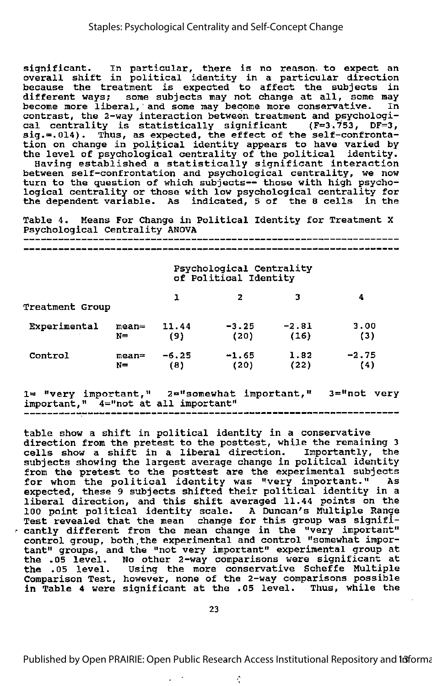significant. In particular, there is no reason- to expect an overall shift in political identity in <sup>a</sup> particular direction because the treatment is expected to affect the subjects in different ways; some subjects may not change at all, some nay become more liberal, and some may become more conservative. In contrast, the 2-way interaction between treatment and psychologi cal centrality is statistically significant (F=3.753, DF=3, sig.=.014). Thus, as expected, the effect of the self-confronta tion on change in political identity appears to have varied by the level of psychological centrality of the political identity.

Having established <sup>a</sup> statistically significant interaction between self-confrontation and psychological centrality, we now turn to the question of which subjects— those with high psycho logical centrality or those with low psychological centrality for the dependent variable. As indicated, <sup>5</sup> of the <sup>8</sup> cells in the

Table 4. Means For Change in Political Identity for Treatment <sup>X</sup> Psychological Centrality ANOVA

Psychological Centrality of Political Identity Proposed Contrality<br>
12 3 4<br>
22 3 4<br>
22 3 4<br>
22 3 4<br>
22 3 4<br>
22 3 4<br>
22 3 4<br>
22 3 4<br>
22 3 4<br>
22 3 4<br>
22 3 4<br>
22 3 4<br>
22 3 4<br>
22 3 4<br>
22 3 4<br>
22 3<br>
22 3<br>
22 3<br>
22 3<br>
22 3<br>
22 3<br>
22 3<br>
22 3<br>
22 3<br>
22 3<br>
22 3<br>
22 3<br>
24 3<br>
24 Treatment Group Experimental mean= 11.44 -3.25 -2.81 3.00 N= (9) (20) (16) (3) Control mean= -6.25 -1.65 1.82 -2.75 N= (8) (20) (22) (4)

1= "very important," 2="somewhat important," 3="not very important," 4="not at all important"

table show <sup>a</sup> shift in political identity in <sup>a</sup> conservative direction from the pretest to the posttest, while the remaining <sup>3</sup> cells show a shift in a liberal direction. Importantly, the subjects showing the largest average change in political identity from the pretest to the posttest are the experimental subjects for whom the political identity was "very important." As expected, these 9 subjects shifted their political identity in a liberal direction, and this shift averaged 11.44 points on the 100 point political identity scale. <sup>A</sup> Duncan's Multiple Range Test revealed that the mean change for this group was signifi cantly different from the mean change in the "very important" control group, both,the experimental and control "somewhat impor tant" groups, and the "not very important" experimental group at the .05 level. No other 2-way comparisons were significant at the ,05 level. Using the more conservative Scheffe Multiple Comparison Test, however, none of the 2-way comparisons possible in Table <sup>4</sup> were significant at the .05 level. Thus, while the

23

Published by Open PRAIRIE: Open Public Research Access Institutional Repository and Informa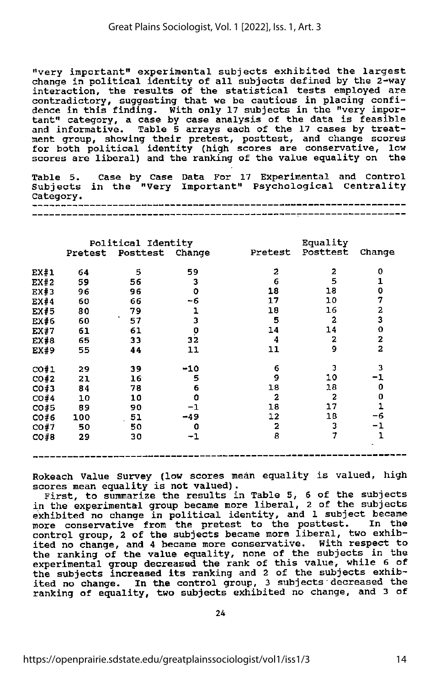"very important" experimental subjects exhibited the largest change in political identity of all subjects defined by the 2-way interaction, the results of the statistical tests employed are contradictory, suggesting that we be cautious in placing confi dence in this finding. With only 17 subjects in the "very impor tant" category, <sup>a</sup> case by case analysis of the data is feasible and informative. Table 5 arrays each of the 17 cases by treat ment group, showing their pretest, posttest, and change scores for both political identity (high scores are conservative, low scores are liberal) and the ranking of the value equality on the

Table 5. Case by Case Data For 17 Experimental and Control Subjects in the "Very Important" Psychological Centrality Category.

|      | Political Identity |                         |         | Equality                |                |                         |
|------|--------------------|-------------------------|---------|-------------------------|----------------|-------------------------|
|      |                    | Pretest Posttest Change |         | Pretest                 | Posttest       | Change                  |
| EX#1 | 64                 | 5                       | 59      | 2                       | $\mathbf{z}$   | O                       |
| EX#2 | 59                 | 56                      | 3       | 6                       | 5              | 1                       |
| EX#3 | 96                 | 96                      | O       | 18                      | 18             | 0                       |
| EX#4 | 60                 | 66                      | -6      | 17                      | 10             | 7                       |
| EX#5 | 80                 | 79                      | ı       | 18                      | 16             | 2                       |
| EX#6 | 60                 | 57                      | 3       | 5                       | $\overline{a}$ | 3                       |
| EX#7 | 61                 | 61                      | 0       | 14                      | 14             | $\mathbf 0$             |
| EX#8 | 65                 | 33                      | 32      | 4                       | $\overline{a}$ | $\overline{\mathbf{c}}$ |
| EX#9 | 55                 | 44                      | 11      | 11                      | 9              | $\overline{a}$          |
| CO#1 | 29                 | 39                      | $-10$   | 6                       | 3              | 3                       |
| CO#2 | 21                 | 16 <sup>°</sup>         | 5       | 9                       | 10             | -1                      |
| CO#3 | 84                 | 78                      | 6       | 18                      | 18             | 0                       |
| CO#4 | 10                 | 10                      | 0       | $\mathbf{2}$            | $\overline{a}$ | 0                       |
| CO#5 | 89                 | 90                      | -1      | 18                      | 17             | $\overline{\mathbf{1}}$ |
| CO#6 | 100                | 51                      | $-49$   | 12                      | 18             | -6                      |
| CO#7 | 50                 | 50                      | 0       | $\overline{\mathbf{z}}$ | 3              | -1                      |
| CO#8 | 29                 | 30                      | $^{-1}$ | 8                       | 7              | $\mathbf{1}$            |
|      |                    |                         |         |                         |                |                         |

Rokeach Value Survey (low scores mean equality is valued,  $\overline{ }$ scores mean equality is not valued).

First, to summarize the results in Table 5, 6 of the subjects<br>in the experimental group became more liberal, 2 of the subjects exhibited no change in political identity, and 1 subject became more conservative from the pretest to the posttest. In the control group, 2 of the subjects became more liberal, two exhib ited no change, and 4 became more conservative. With respect to the ranking of the value equality, none of the subjects in the experimental group decreased the rank of this value, while 6 of the subjects increased its ranking and 2 of the subjects exhibited subjects. ited no change. In the control group, 3 subjects decreased the ranking of equality, two subjects exhibited no change, and 3 of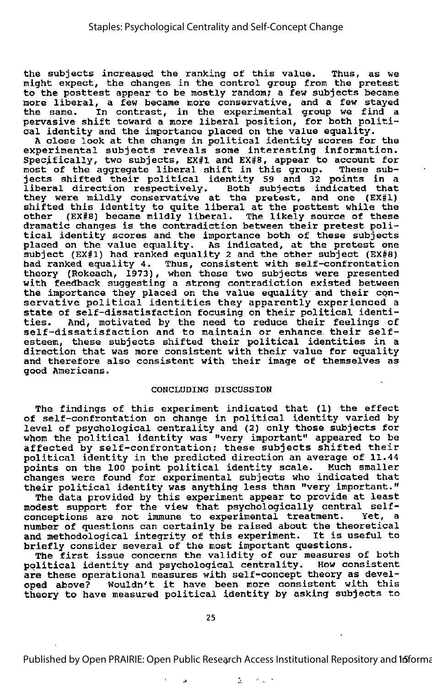the subjects increased the ranking of this value. Thus, as we might expect, the changes in the control group from the pretest to the posttest appear to be mostly random; <sup>a</sup> few subjects became more liberal, a few became more conservative, and a few stayed<br>the same. In contrast, in the experimental group we find a In contrast, in the experimental group we find a pervasive shift toward <sup>a</sup> more liberal position, for both politi cal identity and the importance placed on the value equality.

<sup>A</sup> close look at the change in political identity scores for the experimental subjects reveals some interesting information. Specifically, two subjects, EX#1 and EX#8, appear to account for most of the aggregate liberal shift in this group. These sub jects shifted their political identity <sup>59</sup> and <sup>32</sup> points in <sup>a</sup> liberal direction respectively. Both subjects indicated that they were mildly conservative at the pretest, and one (EX#1) shifted this identity to quite liberal at the posttest while the other (EX#8) became mildly liberal. The likely source of these dramatic changes is the contradiction between their pretest poli tical identity scores and the importance both of these subjects placed on the value equality. As indicated, at the pretest one subject (EX#1) had ranked equality <sup>2</sup> and the other subject (EX#6) had ranked equality 4. Thus, consistent with self-confrontation theory (Rokeach, 1973), when these two subjects were presented with feedback suggesting <sup>a</sup> strong contradiction existed between the importance they placed on the value equality and their cqnservative political identities they apparently experienced <sup>a</sup> state of self-dissatisfaction focusing on their political identi-<br>ties. And. motivated by the need to reduce their feelings of And, motivated by the need to reduce their feelings of self-dissatisfaction and to maintain or enhance their selfesteem, these subjects shifted their political identities in <sup>a</sup> direction that was more consistent with their value for equality and therefore also consistent with their image of themselves as good Americans.

### CONCLUDING DISCUSSION

The findings of this experiment indicated that (1) the effect of self-confrontation on change in political identity varied by level of psychological centrality and (2) only those subjects for whom the political identity was "very important" appeared to be affected by self-confrontation; these subjects shifted their political identity in the predicted direction an average of 11.44 points on the 100 point political identity scale. Much smaller changes were found for experimental subjects who indicated that their political identity was anything less than "very important."

The data provided by this experiment appear to provide at least modest support for the view that psychologically central selfconceptions are not immune to experimental treatment. Yet, <sup>a</sup> number of questions can certainly be raised about the theoretical and methodological integrity of this experiment. It is useful to briefly consider several of the most important questions.

The first issue concerns the validity of our measures of both<br>ilitical identity and psychological centrality. How consistent political identity and psychological centrality. are these operational measures with self-concept theory as devel oped above? Wouldn't it have been more consistent with this theory to have measured political identity by asking subjects to

 $\boldsymbol{\star}$ 

Published by Open PRAIRIE: Open Public Research Access Institutional Repository and 15 forma

 $\mathbb{R}^+$ 

 $\|d\|_{\infty}$  ,  $\alpha$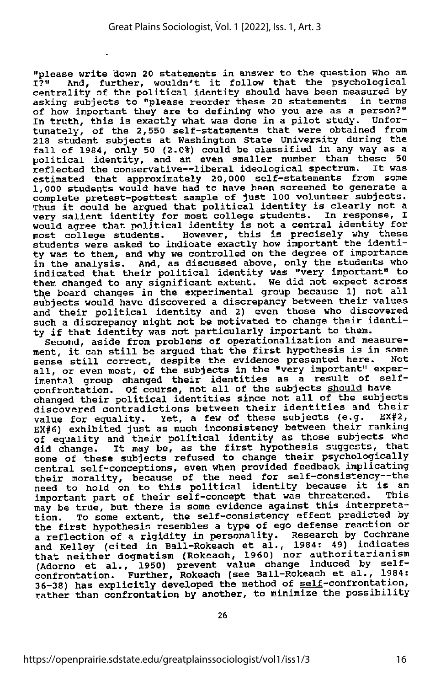"please write down 20 statements in answer to the question Who am I?" And, further, wouldn't it follow that the psychological centrality of the political identity should have been measured by asking subjects to "please reorder these 20 statements in terms of how important they are to defining who you are as a person?" In truth, this is exactly what was done in <sup>a</sup> pilot study. Unfor tunately, of the 2,550 self-statements that were obtained from 218 student subjects at Washington State University during the fall of 1984, only 50 (2.0%) could be classified in any way as a political identity, and an even smaller number than these 50 porticial identity, and an even smarter hanner onen. It was estimated that approximately 20,000 self-statements from some 1,000 students would have had to have been screened to generate a complete pretest-posttest sample of just 100 volunteer subjects. Thus it could be argued that political identity is clearly not <sup>a</sup> very salient identity for most college students. In response, <sup>I</sup> would agree that political identity is not a central identity for most college students. However, this is precisely why these students were asked to indicate exactly how important the identi ty was to them, and why we controlled on the degree of importance in the analysis. And, as discussed above, only the students who indicated that their political identity was "very important" to them changed to any significant extent. We did not expect across the board changes in the experimental group because 1) not all subjects would have discovered a discrepancy between their values and their political identity and 2) even those who discovered such a discrepancy might not be motivated to change their identity if that identity was not particularly important to them.

Second, aside from problems of operationalization and measurement, it can still be argued that the first hypothesis is in some<br>sense still correct, despite the evidence presented here. Not<br>all, or even most, of the subjects in the "very important" experall, or even most, of the subjects in the "very important" exper-<br>imental group changed their identities as a result of self-Imental group changed their identities as about a should have changed their political identities since not all of the subjects discovered contradictions between their identities and their<br>value for equality set a few of these subjects (e.g. EX#2, value for equality. Yet, a few of these subjects (e.g. EX#6) exhibited just as much inconsistency between their ranking<br>of equality and their political identity as those subjects who of equality and their political factory are ensured suggests, that<br>did change. It may be, as the first hypothesis suggests, that some of these subjects refused to change their psychologically central self-conceptions, even when provided feedback implicating central self-conceptions, even when provided feedback implicating<br>their morality, because of the need for self-consistency--the need to hold on to this political identity because it is an important part of their self-concept that was threatened. may be true, but there is some evidence against this interpreta tion. To some extent, the self-consistency effect predicted by the first hypothesis resembles <sup>a</sup> type of ego defense reaction or a reflection of a rigidity in personality. Research by Cochrane and Kelley (cited in Ball-Rokeach et al., 1984: 49) indicates that neither dogmatism (Rokeach, 1960) nor authoritarianism (Adorno et al., 1950) prevent value change induced by selfconfrontation. Further, Rokeach (see Ball-Rokeach et al., 1984: 36-38) has explicitly developed the method of self-confrontation, rather than confrontation by another, to minimize the possibility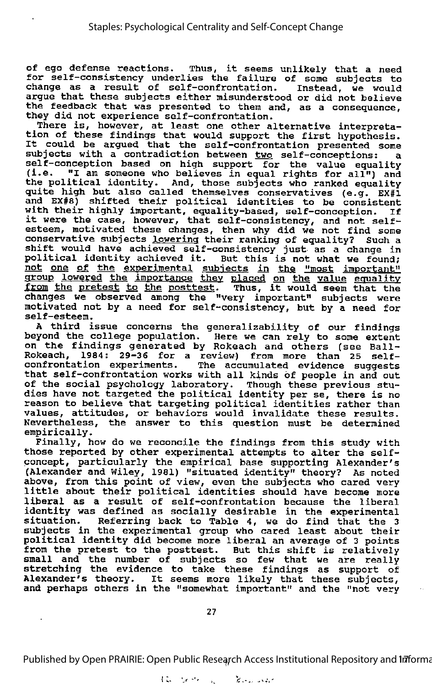of ego defense reactions. Thus, it seems unlikely that <sup>a</sup> need for self-consistency underlies the failure of some subjects to change as <sup>a</sup> result of self-confrontation. Instead, we would argue that these subjects either misunderstood or did not believe the feedback that was presented to them and, as <sup>a</sup> consequence, they did not experience self-confrontation.

There is, however, at least one other alternative interpreta tion of these findings that would support the first hypothesis. It could be argued that the self-confrontation presented some subjects with a contradiction between two self-conceptions: a self-conception based on high support for the value equality (i.e. "I am someone who believes in equal rights for all") and the political identity. And, those subjects who ranked equality quite high but also called themselves conservatives (e.g. EX#1 and EX#8) shifted their political identities to be consistent with their highly important, equality-based, self-conception. If it were the case, however, that self-consistency, and not selfesteem, motivated these changes, then why did we not find some conservative subjects lowering their ranking of equality? Such <sup>a</sup> shift would have achieved self-consistency just as <sup>a</sup> change in mile would have achieved self-consistency just as a change in<br>political identity achieved it. But this is not what we found;<br>not <u>one of the experimental subjects in the "most important</u>" group lowered the importance they placed on the value equality<br>from the pretest to the posttest. Thus, it would seem that the changes we observed among the "very important" subjects were motivated not by a need for self-consistency, but by a need for self-esteem.

A third issue concerns the generalizability of our findings beyond the college population. Here we can rely to some extent on the findings generated by Rokeach and others (see Ball-Rokeach, 1984: 29-36 for <sup>a</sup> review) from more than <sup>25</sup> selfconfrontation experiments. The accumulated evidence suggests that self-confrontation works with all kinds of people in and out of the social psychology laboratory. Though these previous stu dies have not targeted the political identity per se, there is no<br>reason to believe that targeting political identities rather than reason to believe that targeting political identities rather than<br>values, attitudes, or behaviors would invalidate these results. Nevertheless, the answer to this question must be determined empirically.

Finally, how do we reconcile the findings from this study with those reported by other experimental attempts to alter the selfconcept, particularly the empirical base supporting Alexander's (Alexander and Wiley, 1981) "situated identity" theory? As noted above, from this point of view, even the subjects who cared very little about their political identities should have become more liberal as <sup>a</sup> result of self-confrontation because the liberal identity was defined as socially desirable in the experimental situation. Referring back to Table 4, we do find that the 3 subjects in the experimental group who cared least about their political identity did become more liberal an average of 3 points from the pretest to the posttest. But this shift is relatively small and the number of subjects so few that we are really stretching the evidence to take these findings as support of stretching the evidence to take these findings as support of<br>Alexander's theory. It seems more likely that these subjects, and perhaps others in the "somewhat important" and the "not very

27

Published by Open PRAIRIE: Open Public Research Access Institutional Repository and Informa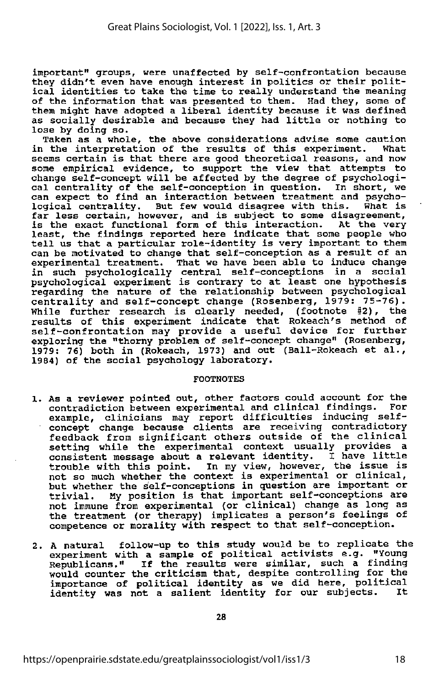important" groups, were unaffected by self-confrontation because they didn't even have enough interest in politics or their polit ical identities to take the time to really understand the meaning of the information that was presented to them. Had they, some of them might have adopted <sup>a</sup> liberal identity because it was defined as socially desirable and because they had little or nothing to lose by doing so.

Taken as <sup>a</sup> whole, the above considerations advise some caution in the interpretation of the results of this experiment. seems certain is that there are good theoretical reasons, and now some empirical evidence, to support the view that attempts to change self-concept will be affected by the degree of psychologi cal centrality of the self-conception in question. In short, we can expect to find an interaction between treatment and psycho logical centrality. But few would disagree with this. What is far less certain, however, and is subject to some disagreement, is the exact functional form of this interaction. At the very least, the findings reported here indicate that some people who tell us that <sup>a</sup> particular role-identity is very important to them experimental treatment. That we have been able to induce change in such psychologically central self-conceptions in a social psychological experiment is contrary to at least one hypothesis regarding the nature of the relationship between psychological centrality and self-concept change (Rosenberg, 1979: 75-76). While further research is clearly needed, (footnote #2), the results of this experiment indicate that Rokeach's method of self-confrontation may provide <sup>a</sup> useful device for further exploring the "thorny problem of self-concept change" (Rosenberg, 1979: 76) both in (Rokeach, 1973) and out (Ball-Rokeach et al., 1984) of the social psychology laboratory.

### FOOTNOTES

- 1. As a reviewer pointed out, other factors could account for the contradiction between experimental and clinical findings. For example, clinicians may report difficulties inducing selfconcept change because clients are receiving contradictory feedback from significant others outside of the clinical setting while the experimental context usually provides a consistent message about <sup>a</sup> relevant identity. <sup>I</sup> have little trouble with this point. In my view, however, the issue is not so much whether the context is experimental or clinical, but whether the self-conceptions in question are important or trivial. My position is that important self-conceptions are not immune from experimental (or clinical) change as long as the treatment (or therapy) implicates a person's feelings of competence or morality with respect to that self-conception.
- 2. A natural follow-up to this study would be to replicate the experiment with a sample of political activists e.g. "Young Republicans." If the results were similar, such a finding would counter the criticism that, despite controlling for the importance of political identity as we did here, political<br>identity was not a salient identity for our subjects. It identity was not a salient identity for our subjects.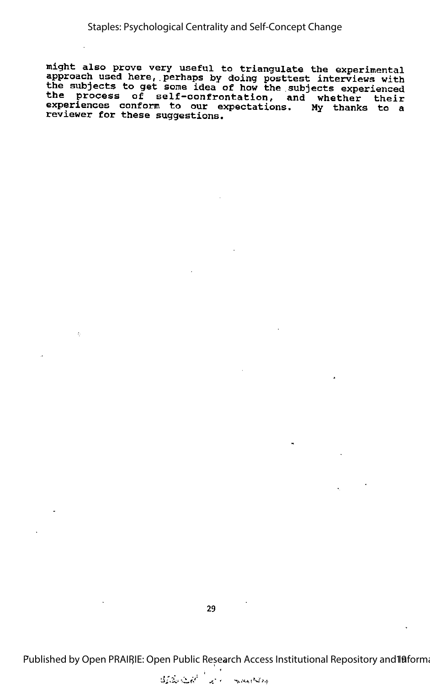might also prove very useful to triangulate the experimental approach used here, perhaps by doing posttest interviews with the subjects to get some idea of how the subjects experienced the process of self-confrontation, and whether their experiences conform to our expectations. My thanks to a reviewer for these suggestions.

29

ż.

Published by Open PRAIRIE: Open Public Research Access Institutional Repository and IBforma

at the matter of the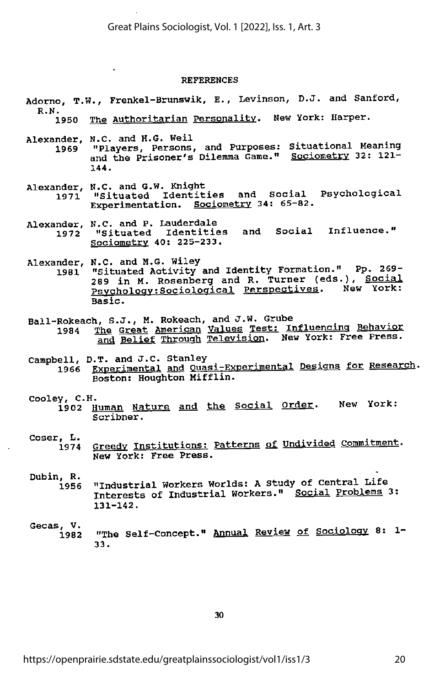### REFERENCES

- Adorno, T.W., Frenkel-Brunswik, E., Levinson, D.J. and Sanford,<br>R.N.<br>1950 The Authoritarian Personality. New York: Harper.
	- The Authoritarian Personality. New York: Harper.

 $\Delta$ 

- Alexander, N.C. and H.G. Weil<br>1969 "Players, Persons, and Purposes: Situational Meaning and the Prisoner's Dilemma Game." <u>Sociometry</u> 32: 121-<br>144.
- Alexander, N.C. and G.W. Knight<br>1971 "Situated Identit "Situated Identities and Social Psychological<br>Experimentation. Sociometry 34: 65-82.
- Alexander, N.C. and P. Lauderdale<br>1972 "Situated Identitie "Situated Identities and Social Influence." Sociometrv 40: 225-233.

- Alexander, N.C. and M.G. Wiley<br>1981 "Situated Activity 1981 "Situated Activity and Identity Formation." Pp. 269- 289 in M. Rosenberg and R. Turner (eds.), Social Psychology: Sociological Perspectives. New York: Basic.
- Ball-Rokeach, S.J., M. Rokeach, and J.W. Grube " ... Pohavi
- 1984 The Great American Values Test: Influencing Behavior and Belief Through Television. New York: Free Press.
- $\texttt{Cambell}, \texttt{D.T.}$  and J.C. Stanley ,  $\texttt{P}$   $\texttt{P}$  and  $\texttt{P}$  and  $\texttt{P}$ 1966 Experimental and Quasi-Experimental Designs, for Research. Boston: Houghton Mifflin.

Cooley, C.H.<br>1902 <u>Human Nature and the Social Order</u>. New York: Scribner.

Coser, L.<br>1974 Greedy Institutions: Patterns of Undivided Commitment. New York: Free Press.

- 1956 "Industrial Workers Worlds: A study of Central Life Interests of Industrial Workers." Social Problems 3:<br>131-142.
- Gecas, V. , ^ o. <sup>1</sup> <sup>1982</sup> "The Self-Concept." Annual Review of Sociology 8. i- 33.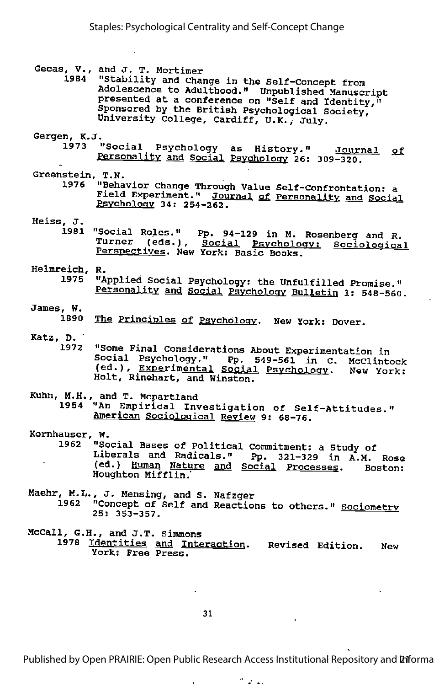Gecas, V., and J. T. Mortimer<br>1984 "Stability and Chay

"Stability and Change in the Self-Concept from Adolescence to Adulthood." Unpublished Manuscript presented at <sup>a</sup> conference on "Self and Identity," Sponsored by the British Psychological Society, University College, Cardiff, U.K., July.

Gergen, K.J.

- 1973 "Social Psychology as History." Personality and Social Psychology 26: 309-320. Journal of
- Greenstein, T.N.<br>1976 "Beha
	- "Behavior Change Through Value Self-Confrontation: a Field Experiment." Journal of Personality and Social Psychology 34: 254-262.
- Heiss, J.
	- 1981 "Social Roles." pp. 94-129 in M. Rosenberg and R. Social Roles. Pp. 94-129 In M. Rosenberg and R.<br>Turner (eds.), <u>Social Psychol</u>ogy: Sociological Perspectives. New York: Basic Books.
- Helmreich, R. 1975 "Applied Social Psychology: the Unfulfilled Promise." Personality and Social Psychology Bulletin l: 548-560.
- James, W.
	- .<br>1890 <u>The Principles of Psychol</u>ogy. New York: Dover.
- Katz, D.
	- 1972 "Some Final Considerations About Experimentation in Social Psychology." Pp. 549-561 in C. McClintock essial Psychology." Pp. 549-561 in C. McClintoc)<br>(ed.), <u>Experimental Social</u> Psychology. New York: Holt, Rinehart, and Winston.
- Kuhn, M.H., and T. Mcpartland
	- 1954 "An Empirical Investigation of Self-Attitudes." American Sociological Review 9: 68-76.
- Kornhauser,  $W.$  1962  $W.$

1962 "Social Bases of Political Commitment: a Study of Liberals and Radicals." Pp. 321-329 in A.M. Rose (ed.) Human Nature and Social Processes. Boston: Houghton Mifflin."

- Maehr, M.L., J. Hensing, and S. Nafzger 1962 "Concept of Self and Reactions to others." Sociometry 25: 353-357.
- HcCall, G.H., and J.T. Simmons 1978 <u>Identities</u> and Interaction. <u>(dentities and Interaction</u>. Revised Edition. New<br>York: Free Press.

31

Published by Open PRAIRIE: Open Public Research Access Institutional Repository and **Pif**orma

 $\omega_{\rm c}$  and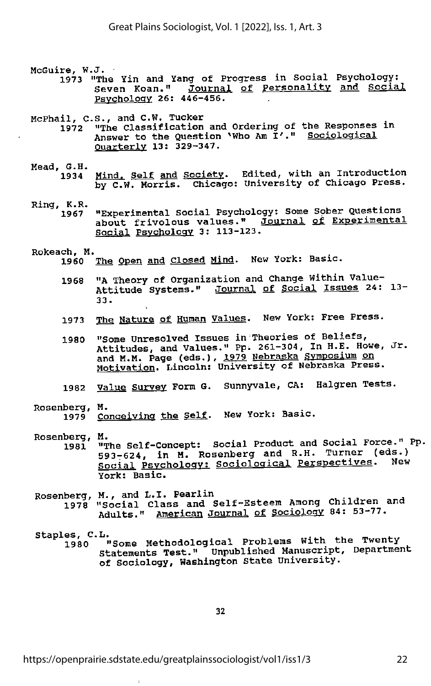McGuire, W.J. ·

- 1973 "The Yin and Yang of Progress in Social Psychology: Seven Koan." Journal of Personality and Social Psychology 26: 446-456.
- McPhail, C.S., and C.W. Tucker
	- "The Classification and Ordering of the Responses in<br>Answer to the Question `Who Am I'." <u>Sociological</u><br><u>Quarterly</u> 13: 329-347. 1972
- Mead, G.H.
	- Mind. Self and Society. Edited, with an Introduction by C.W. Morris. Chicago: University of Chicago Press. 1934
- Ring, K.R.
	- "Experimental Social Psychology: Some Spber Questions about frivolous values." Journal of Experimental Social Psychology 3: 113-123. 1967

# Rokeach, M.

- The Open and Closed Mind. New York: Basic.
- 1968 "A Theory of Organization and Change Within Value-Attitude Systems." Journal of Social Issues 24: 13-<br>33.
- 1973 The Nature of Human Values. New York: Free Press.
- 1980 "Some Unresolved Issues in Theories of Beliefs, Attitudes, and Values." Pp. 261-304, In H.E. Howe, Jr. and M.M. Page (eds.), 1979 Nebraska Symposium on Motivation. Lincoln: University of Nebraska Press.
- 1982 Value Survey Form G. Sunnyvale, CA: Halgren Tests.

## Rosenberg, M.

- 1979 Conceiving the Self. New York: Basic.
- 
- Rosenberg, M.<br>1981 "The Self-Concept: Social Product and Social Force." Pp. 193-624, in M. Rosenberg and R.H. Turner (eds.) Social Psychology: Sociological Perspectives. York: Basic.
- Rosenberg, M., and L.I. Pearlin
	- 1978 "Social Class and Self-Esteem Among Children ana Adults." American Journal of Sociology 84: 53-77.

^ <sup>1980</sup> "Some Methodological Problems With the Twenty Statements Test." Unpublished Manuscript, Department of Sociology, Washington State University.